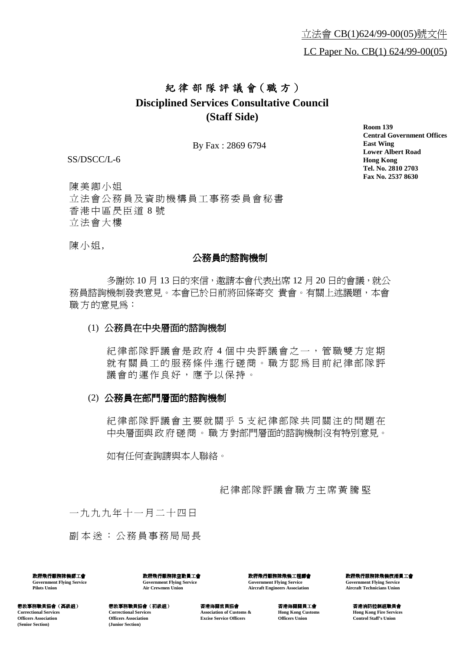## 紀律部隊評議會 (職方) **Disciplined Services Consultative Council (Staff Side)**

By Fax : 2869 6794

SS/DSCC/L-6

**Room 139 Central Government Offices East Wing Lower Albert Road Hong Kong Tel. No. 2810 2703 Fax No. 2537 8630**

陳美卿小姐 立法會公務員及資助機構員工事務委員會秘書 香港㆗區昃臣道 8 號 立法會大樓

陳小姐,

## 公務員的諮詢機制

多謝妳 10 月 13 日的來信,激請本會代表出席 12 月 20 日的會議,就公 務員諮詢機制發表意見。本會已於日前將回條寄交 貴會。有關上述議題,本會 職方的意見為:

## (1) 公務員在㆗央層面的諮詢機制

紀律部隊評議會是政府 4 個中央評議會之一, 管職雙方定期 就有關員工的服務條件進行磋商。職方認為目前紀律部隊評 議會的運作良好,應予以保持。

## (2) 公務員在部門層面的諮詢機制

紀律部隊評議會主要就關乎 5 支紀律部隊共同關注的問題在 中央層面與政府磋商。職方對部門層面的諮詢機制沒有特別意見。

如有任何查詢請與本㆟聯絡。

紀律部隊評議會職方主席黃騰堅

一九九九年十一月二十四日

副本送: 公務員事務局局長

政府飛行服務隊機師工會 **Government Flying Service Pilots Union**

政府飛行服務隊空勤員工會 **Government Flying Service Air Crewmen Union**

政府飛行服務隊飛機工程師會 **Government Flying Service Aircraft Engineers Association**

政府飛行服務隊飛機技術員工會 **Government Flying Service Aircraft Technicians Union**

懲教事務職員協會(高級組) 懲教事務職員協會(高級組) **Correctional Services Officers Association (Senior Section)**

懲教事務職員協會(初級組) 懲教事務職員協會(初級組) **Correctional Services Officers Association (Junior Section)**

香港海關官員協會 **Association of Customs & Excise Service Officers**

香港海關關員工會 **Hong Kong Customs Officers Union**

香港消防控制組職員會 **Hong Kong Fire Services Control Staff's Union**